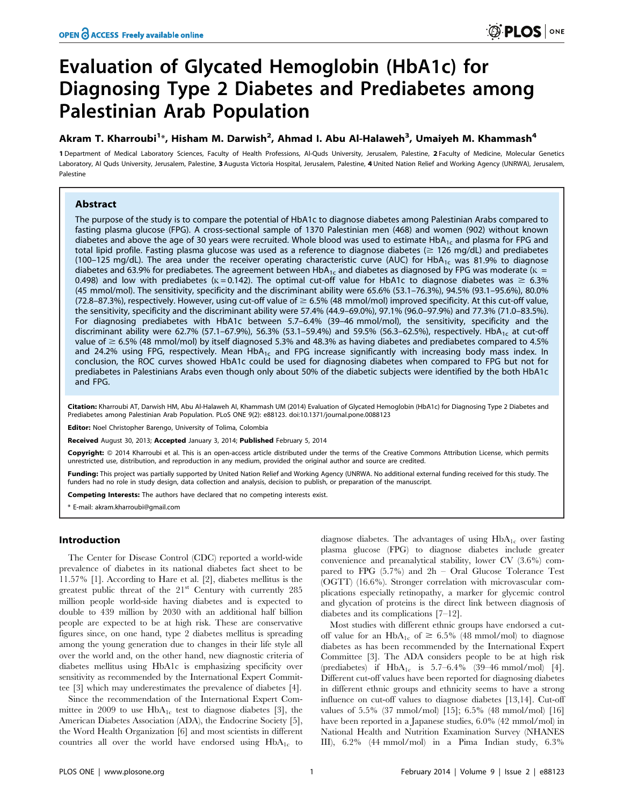# Evaluation of Glycated Hemoglobin (HbA1c) for Diagnosing Type 2 Diabetes and Prediabetes among Palestinian Arab Population

## Akram T. Kharroubi<sup>1</sup>\*, Hisham M. Darwish<sup>2</sup>, Ahmad I. Abu Al-Halaweh<sup>3</sup>, Umaiyeh M. Khammash<sup>4</sup>

1 Department of Medical Laboratory Sciences, Faculty of Health Professions, Al-Quds University, Jerusalem, Palestine, 2 Faculty of Medicine, Molecular Genetics Laboratory, Al Quds University, Jerusalem, Palestine, 3 Augusta Victoria Hospital, Jerusalem, Palestine, 4 United Nation Relief and Working Agency (UNRWA), Jerusalem, Palestine

## Abstract

The purpose of the study is to compare the potential of HbA1c to diagnose diabetes among Palestinian Arabs compared to fasting plasma glucose (FPG). A cross-sectional sample of 1370 Palestinian men (468) and women (902) without known diabetes and above the age of 30 years were recruited. Whole blood was used to estimate  $HbA_{1c}$  and plasma for FPG and total lipid profile. Fasting plasma glucose was used as a reference to diagnose diabetes ( $\geq 126$  mg/dL) and prediabetes (100-125 mg/dL). The area under the receiver operating characteristic curve (AUC) for HbA<sub>1c</sub> was 81.9% to diagnose diabetes and 63.9% for prediabetes. The agreement between HbA<sub>1c</sub> and diabetes as diagnosed by FPG was moderate ( $K =$ 0.498) and low with prediabetes ( $K = 0.142$ ). The optimal cut-off value for HbA1c to diagnose diabetes was  $\geq 6.3\%$ (45 mmol/mol). The sensitivity, specificity and the discriminant ability were 65.6% (53.1–76.3%), 94.5% (93.1–95.6%), 80.0% (72.8–87.3%), respectively. However, using cut-off value of  $\geq 6.5\%$  (48 mmol/mol) improved specificity. At this cut-off value, the sensitivity, specificity and the discriminant ability were 57.4% (44.9–69.0%), 97.1% (96.0–97.9%) and 77.3% (71.0–83.5%). For diagnosing prediabetes with HbA1c between 5.7–6.4% (39–46 mmol/mol), the sensitivity, specificity and the discriminant ability were 62.7% (57.1–67.9%), 56.3% (53.1–59.4%) and 59.5% (56.3–62.5%), respectively. HbA<sub>1c</sub> at cut-off value of  $\geq$  6.5% (48 mmol/mol) by itself diagnosed 5.3% and 48.3% as having diabetes and prediabetes compared to 4.5% and 24.2% using FPG, respectively. Mean HbA<sub>1c</sub> and FPG increase significantly with increasing body mass index. In conclusion, the ROC curves showed HbA1c could be used for diagnosing diabetes when compared to FPG but not for prediabetes in Palestinians Arabs even though only about 50% of the diabetic subjects were identified by the both HbA1c and FPG.

Citation: Kharroubi AT, Darwish HM, Abu Al-Halaweh AI, Khammash UM (2014) Evaluation of Glycated Hemoglobin (HbA1c) for Diagnosing Type 2 Diabetes and Prediabetes among Palestinian Arab Population. PLoS ONE 9(2): e88123. doi:10.1371/journal.pone.0088123

**Editor:** Noel Christopher Barengo, University of Tolima, Colombia

Received August 30, 2013; Accepted January 3, 2014; Published February 5, 2014

Copyright: © 2014 Kharroubi et al. This is an open-access article distributed under the terms of the Creative Commons Attribution License, which permits unrestricted use, distribution, and reproduction in any medium, provided the original author and source are credited.

Funding: This project was partially supported by United Nation Relief and Working Agency (UNRWA. No additional external funding received for this study. The funders had no role in study design, data collection and analysis, decision to publish, or preparation of the manuscript.

Competing Interests: The authors have declared that no competing interests exist.

\* E-mail: akram.kharroubi@gmail.com

## Introduction

The Center for Disease Control (CDC) reported a world-wide prevalence of diabetes in its national diabetes fact sheet to be 11.57% [1]. According to Hare et al. [2], diabetes mellitus is the greatest public threat of the 21<sup>st</sup> Century with currently 285 million people world-side having diabetes and is expected to double to 439 million by 2030 with an additional half billion people are expected to be at high risk. These are conservative figures since, on one hand, type 2 diabetes mellitus is spreading among the young generation due to changes in their life style all over the world and, on the other hand, new diagnostic criteria of diabetes mellitus using HbA1c is emphasizing specificity over sensitivity as recommended by the International Expert Committee [3] which may underestimates the prevalence of diabetes [4].

Since the recommendation of the International Expert Committee in 2009 to use  $HbA_{1c}$  test to diagnose diabetes [3], the American Diabetes Association (ADA), the Endocrine Society [5], the Word Health Organization [6] and most scientists in different countries all over the world have endorsed using  $HbA_{1c}$  to diagnose diabetes. The advantages of using  $HbA_{1c}$  over fasting plasma glucose (FPG) to diagnose diabetes include greater convenience and preanalytical stability, lower CV (3.6%) compared to FPG (5.7%) and 2h – Oral Glucose Tolerance Test (OGTT) (16.6%). Stronger correlation with microvascular complications especially retinopathy, a marker for glycemic control and glycation of proteins is the direct link between diagnosis of diabetes and its complications [7–12].

Most studies with different ethnic groups have endorsed a cutoff value for an  $HbA_{1c}$  of  $\geq 6.5\%$  (48 mmol/mol) to diagnose diabetes as has been recommended by the International Expert Committee [3]. The ADA considers people to be at high risk (prediabetes) if  $HbA_{1c}$  is 5.7–6.4% (39–46 mmol/mol) [4]. Different cut-off values have been reported for diagnosing diabetes in different ethnic groups and ethnicity seems to have a strong influence on cut-off values to diagnose diabetes [13,14]. Cut-off values of 5.5% (37 mmol/mol) [15]; 6.5% (48 mmol/mol) [16] have been reported in a Japanese studies, 6.0% (42 mmol/mol) in National Health and Nutrition Examination Survey (NHANES III), 6.2% (44 mmol/mol) in a Pima Indian study, 6.3%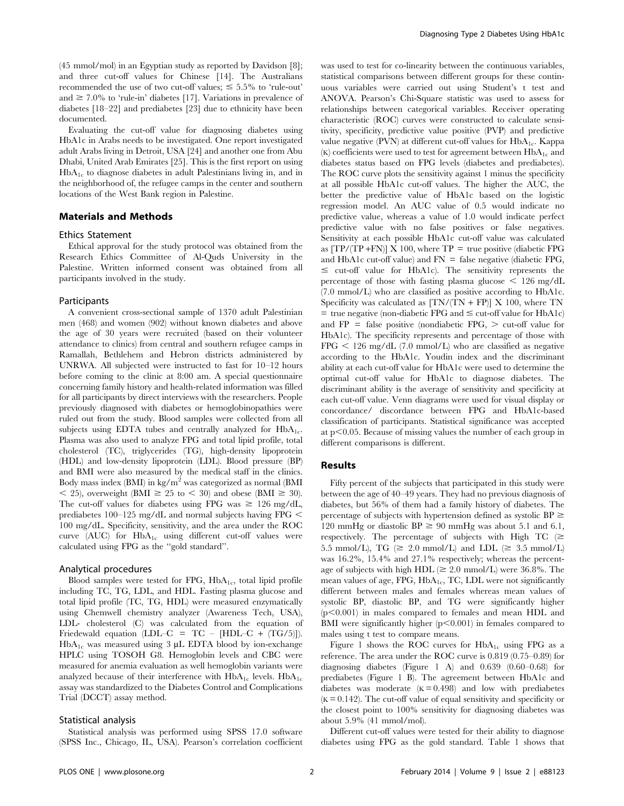(45 mmol/mol) in an Egyptian study as reported by Davidson [8]; and three cut-off values for Chinese [14]. The Australians recommended the use of two cut-off values;  $\leq 5.5\%$  to 'rule-out' and  $\geq 7.0\%$  to 'rule-in' diabetes [17]. Variations in prevalence of diabetes [18–22] and prediabetes [23] due to ethnicity have been documented.

Evaluating the cut-off value for diagnosing diabetes using HbA1c in Arabs needs to be investigated. One report investigated adult Arabs living in Detroit, USA [24] and another one from Abu Dhabi, United Arab Emirates [25]. This is the first report on using  $HbA<sub>1c</sub>$  to diagnose diabetes in adult Palestinians living in, and in the neighborhood of, the refugee camps in the center and southern locations of the West Bank region in Palestine.

#### Materials and Methods

#### Ethics Statement

Ethical approval for the study protocol was obtained from the Research Ethics Committee of Al-Quds University in the Palestine. Written informed consent was obtained from all participants involved in the study.

#### Participants

A convenient cross-sectional sample of 1370 adult Palestinian men (468) and women (902) without known diabetes and above the age of 30 years were recruited (based on their volunteer attendance to clinics) from central and southern refugee camps in Ramallah, Bethlehem and Hebron districts administered by UNRWA. All subjected were instructed to fast for 10–12 hours before coming to the clinic at 8:00 am. A special questionnaire concerning family history and health-related information was filled for all participants by direct interviews with the researchers. People previously diagnosed with diabetes or hemoglobinopathies were ruled out from the study. Blood samples were collected from all subjects using EDTA tubes and centrally analyzed for  $HbA_{1c}$ . Plasma was also used to analyze FPG and total lipid profile, total cholesterol (TC), triglycerides (TG), high-density lipoprotein (HDL) and low-density lipoprotein (LDL). Blood pressure (BP) and BMI were also measured by the medical staff in the clinics. Body mass index (BMI) in kg/m<sup>2</sup> was categorized as normal (BMI  $\langle 25 \rangle$ , overweight (BMI  $\geq 25$  to  $\langle 30 \rangle$  and obese (BMI  $\geq 30$ ). The cut-off values for diabetes using FPG was  $\geq 126$  mg/dL, prediabetes 100–125 mg/dL and normal subjects having FPG  $\leq$ 100 mg/dL. Specificity, sensitivity, and the area under the ROC curve (AUC) for  $HbA_{1c}$  using different cut-off values were calculated using FPG as the ''gold standard''.

#### Analytical procedures

Blood samples were tested for FPG,  $HbA_{1c}$ , total lipid profile including TC, TG, LDL, and HDL. Fasting plasma glucose and total lipid profile (TC, TG, HDL) were measured enzymatically using Chemwell chemistry analyzer (Awareness Tech, USA), LDL- cholesterol (C) was calculated from the equation of Friedewald equation (LDL–C =  $TC - [HDL-C + (TG/5)]$ ).  $HbA_{1c}$  was measured using 3 µL EDTA blood by ion-exchange HPLC using TOSOH G8. Hemoglobin levels and CBC were measured for anemia evaluation as well hemoglobin variants were analyzed because of their interference with  $HbA_{1c}$  levels.  $HbA_{1c}$ assay was standardized to the Diabetes Control and Complications Trial (DCCT) assay method.

## Statistical analysis

was used to test for co-linearity between the continuous variables, statistical comparisons between different groups for these continuous variables were carried out using Student's t test and ANOVA. Pearson's Chi-Square statistic was used to assess for relationships between categorical variables. Receiver operating characteristic (ROC) curves were constructed to calculate sensitivity, specificity, predictive value positive (PVP) and predictive value negative (PVN) at different cut-off values for  $HbA_{1c}$ . Kappa  $(K)$  coefficients were used to test for agreement between  $HbA_{1c}$  and diabetes status based on FPG levels (diabetes and prediabetes). The ROC curve plots the sensitivity against 1 minus the specificity at all possible HbA1c cut-off values. The higher the AUC, the better the predictive value of HbA1c based on the logistic regression model. An AUC value of 0.5 would indicate no predictive value, whereas a value of 1.0 would indicate perfect predictive value with no false positives or false negatives. Sensitivity at each possible HbA1c cut-off value was calculated as  $[TP/(TP + FN)] \times 100$ , where  $TP = true$  positive (diabetic FPG and HbA1c cut-off value) and  $FN =$  false negative (diabetic FPG,  $\leq$  cut-off value for HbA1c). The sensitivity represents the percentage of those with fasting plasma glucose  $\leq 126$  mg/dL (7.0 mmol/L) who are classified as positive according to HbA1c. Specificity was calculated as  $[TN/(TN + FP)] \times 100$ , where TN  $=$  true negative (non-diabetic FPG and  $\leq$  cut-off value for HbA1c) and  $FP = false$  positive (nondiabetic  $FPG$ ,  $>$  cut-off value for HbA1c). The specificity represents and percentage of those with  $FPG \leq 126$  mg/dL (7.0 mmol/L) who are classified as negative according to the HbA1c. Youdin index and the discriminant ability at each cut-off value for HbA1c were used to determine the optimal cut-off value for HbA1c to diagnose diabetes. The discriminant ability is the average of sensitivity and specificity at each cut-off value. Venn diagrams were used for visual display or concordance/ discordance between FPG and HbA1c-based classification of participants. Statistical significance was accepted at  $p<0.05$ . Because of missing values the number of each group in different comparisons is different.

## Results

Fifty percent of the subjects that participated in this study were between the age of 40–49 years. They had no previous diagnosis of diabetes, but 56% of them had a family history of diabetes. The percentage of subjects with hypertension defined as systolic  $BP \geq$ 120 mmHg or diastolic  $BP \ge 90$  mmHg was about 5.1 and 6.1, respectively. The percentage of subjects with High TC  $(\geq$ 5.5 mmol/L), TG ( $\geq$  2.0 mmol/L) and LDL ( $\geq$  3.5 mmol/L) was 16.2%, 15.4% and 27.1% respectively; whereas the percentage of subjects with high HDL ( $\geq 2.0$  mmol/L) were 36.8%. The mean values of age,  $FPG$ ,  $HbA<sub>1c</sub>$ , TC, LDL were not significantly different between males and females whereas mean values of systolic BP, diastolic BP, and TG were significantly higher  $(p<0.001)$  in males compared to females and mean HDL and BMI were significantly higher  $(p<0.001)$  in females compared to males using t test to compare means.

Figure 1 shows the ROC curves for  $HbA_{1c}$  using FPG as a reference. The area under the ROC curve is 0.819 (0.75–0.89) for diagnosing diabetes (Figure 1 A) and 0.639 (0.60–0.68) for prediabetes (Figure 1 B). The agreement between HbA1c and diabetes was moderate  $(K = 0.498)$  and low with prediabetes  $(K = 0.142)$ . The cut-off value of equal sensitivity and specificity or the closest point to 100% sensitivity for diagnosing diabetes was about 5.9% (41 mmol/mol).

Different cut-off values were tested for their ability to diagnose diabetes using FPG as the gold standard. Table 1 shows that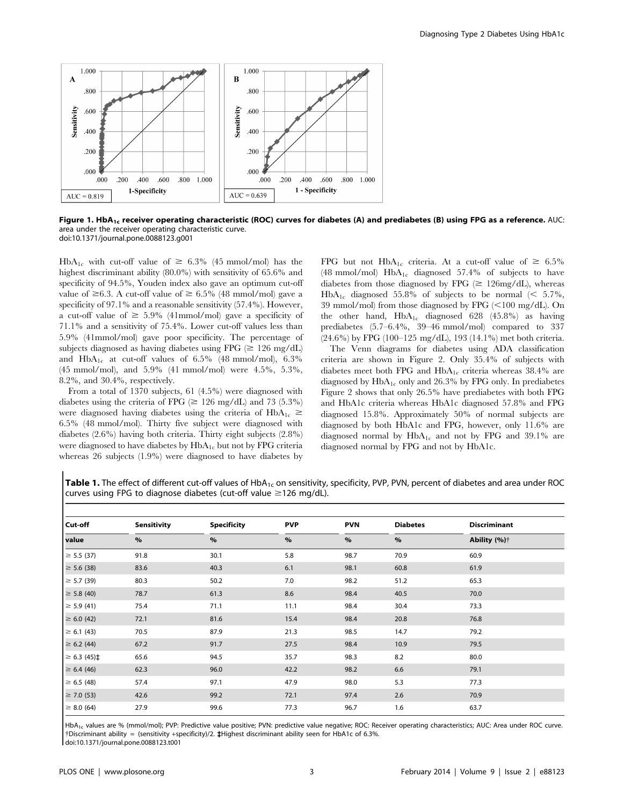

Figure 1. HbA<sub>1c</sub> receiver operating characteristic (ROC) curves for diabetes (A) and prediabetes (B) using FPG as a reference. AUC: area under the receiver operating characteristic curve. doi:10.1371/journal.pone.0088123.g001

HbA<sub>1c</sub> with cut-off value of  $\geq 6.3\%$  (45 mmol/mol) has the highest discriminant ability (80.0%) with sensitivity of 65.6% and specificity of 94.5%, Youden index also gave an optimum cut-off value of  $\geq 6.3$ . A cut-off value of  $\geq 6.5\%$  (48 mmol/mol) gave a specificity of 97.1% and a reasonable sensitivity (57.4%). However, a cut-off value of  $\geq 5.9\%$  (41mmol/mol) gave a specificity of 71.1% and a sensitivity of 75.4%. Lower cut-off values less than 5.9% (41mmol/mol) gave poor specificity. The percentage of subjects diagnosed as having diabetes using FPG ( $\geq 126$  mg/dL) and  $HbA_{1c}$  at cut-off values of 6.5% (48 mmol/mol), 6.3% (45 mmol/mol), and 5.9% (41 mmol/mol) were 4.5%, 5.3%, 8.2%, and 30.4%, respectively.

From a total of 1370 subjects, 61 (4.5%) were diagnosed with diabetes using the criteria of FPG ( $\geq$  126 mg/dL) and 73 (5.3%) were diagnosed having diabetes using the criteria of  $HbA_{1c} \ge$ 6.5% (48 mmol/mol). Thirty five subject were diagnosed with diabetes (2.6%) having both criteria. Thirty eight subjects (2.8%) were diagnosed to have diabetes by  $HbA_{1c}$  but not by FPG criteria whereas 26 subjects (1.9%) were diagnosed to have diabetes by

FPG but not HbA<sub>1c</sub> criteria. At a cut-off value of  $\geq 6.5\%$ (48 mmol/mol)  $HbA_{1c}$  diagnosed 57.4% of subjects to have diabetes from those diagnosed by FPG  $(\geq 126 \text{mg/dL})$ , whereas HbA<sub>1c</sub> diagnosed 55.8% of subjects to be normal (< 5.7%, 39 mmol/mol) from those diagnosed by FPG  $(<100$  mg/dL). On the other hand,  $HbA_{1c}$  diagnosed 628 (45.8%) as having prediabetes (5.7–6.4%, 39–46 mmol/mol) compared to 337 (24.6%) by FPG (100–125 mg/dL), 193 (14.1%) met both criteria.

The Venn diagrams for diabetes using ADA classification criteria are shown in Figure 2. Only 35.4% of subjects with diabetes meet both FPG and  $HbA_{1c}$  criteria whereas 38.4% are diagnosed by  $HbA_{1c}$  only and 26.3% by FPG only. In prediabetes Figure 2 shows that only 26.5% have prediabetes with both FPG and HbA1c criteria whereas HbA1c diagnosed 57.8% and FPG diagnosed 15.8%. Approximately 50% of normal subjects are diagnosed by both HbA1c and FPG, however, only 11.6% are diagnosed normal by  $HbA_{1c}$  and not by FPG and 39.1% are diagnosed normal by FPG and not by HbA1c.

Table 1. The effect of different cut-off values of HbA<sub>1c</sub> on sensitivity, specificity, PVP, PVN, percent of diabetes and area under ROC curves using FPG to diagnose diabetes (cut-off value  $\geq$ 126 mg/dL).

| Cut-off<br>value        | <b>Sensitivity</b><br>$\%$ | <b>Specificity</b><br>$\%$ | <b>PVP</b><br>$\%$ | <b>PVN</b><br>$\%$ | <b>Diabetes</b> | <b>Discriminant</b>      |
|-------------------------|----------------------------|----------------------------|--------------------|--------------------|-----------------|--------------------------|
|                         |                            |                            |                    |                    | $\%$            | Ability (%) <sup>†</sup> |
| $\geq 5.5(37)$          | 91.8                       | 30.1                       | 5.8                | 98.7               | 70.9            | 60.9                     |
| $\geq 5.6$ (38)         | 83.6                       | 40.3                       | 6.1                | 98.1               | 60.8            | 61.9                     |
| $\geq 5.7(39)$          | 80.3                       | 50.2                       | 7.0                | 98.2               | 51.2            | 65.3                     |
| $\geq$ 5.8 (40)         | 78.7                       | 61.3                       | 8.6                | 98.4               | 40.5            | 70.0                     |
| $\geq$ 5.9 (41)         | 75.4                       | 71.1                       | 11.1               | 98.4               | 30.4            | 73.3                     |
| $\geq 6.0$ (42)         | 72.1                       | 81.6                       | 15.4               | 98.4               | 20.8            | 76.8                     |
| $\geq 6.1(43)$          | 70.5                       | 87.9                       | 21.3               | 98.5               | 14.7            | 79.2                     |
| $\geq 6.2$ (44)         | 67.2                       | 91.7                       | 27.5               | 98.4               | 10.9            | 79.5                     |
| $\geq 6.3(45) \ddagger$ | 65.6                       | 94.5                       | 35.7               | 98.3               | 8.2             | 80.0                     |
| $\geq 6.4(46)$          | 62.3                       | 96.0                       | 42.2               | 98.2               | 6.6             | 79.1                     |
| $\geq 6.5(48)$          | 57.4                       | 97.1                       | 47.9               | 98.0               | 5.3             | 77.3                     |
| $\geq$ 7.0 (53)         | 42.6                       | 99.2                       | 72.1               | 97.4               | 2.6             | 70.9                     |
| $\geq 8.0$ (64)         | 27.9                       | 99.6                       | 77.3               | 96.7               | 1.6             | 63.7                     |

HbA<sub>1c</sub> values are % (mmol/mol); PVP: Predictive value positive; PVN: predictive value negative; ROC: Receiver operating characteristics; AUC: Area under ROC curve. {Discriminant ability = (sensitivity +specificity)/2. `Highest discriminant ability seen for HbA1c of 6.3%. doi:10.1371/journal.pone.0088123.t001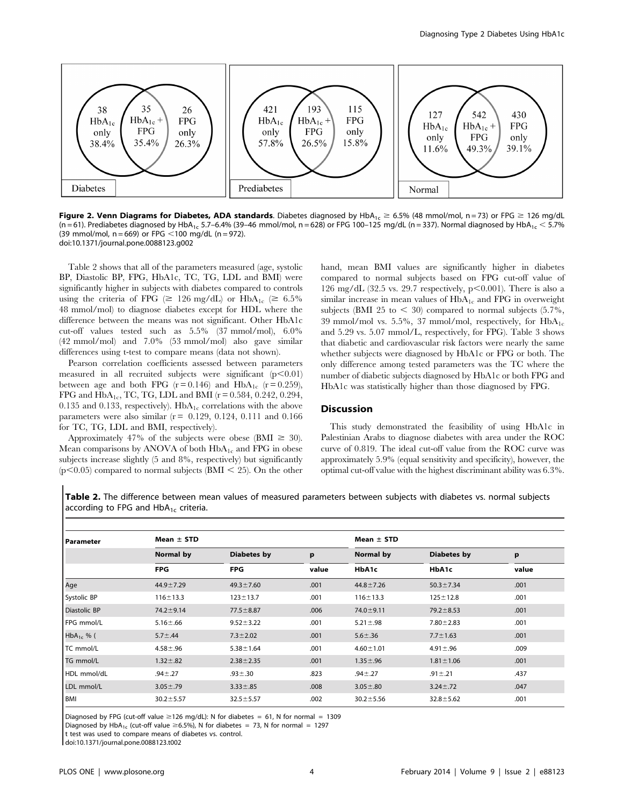

Figure 2. Venn Diagrams for Diabetes, ADA standards. Diabetes diagnosed by HbA<sub>1c</sub>  $\geq 6.5\%$  (48 mmol/mol, n = 73) or FPG  $\geq 126$  mg/dL (n = 61). Prediabetes diagnosed by HbA<sub>1c</sub> 5.7–6.4% (39–46 mmol/mol, n = 628) or FPG 100–125 mg/dL (n = 337). Normal diagnosed by HbA<sub>1c</sub> < 5.7% (39 mmol/mol,  $n = 669$ ) or FPG < 100 mg/dL (n = 972). doi:10.1371/journal.pone.0088123.g002

Table 2 shows that all of the parameters measured (age, systolic BP, Diastolic BP, FPG, HbA1c, TC, TG, LDL and BMI) were significantly higher in subjects with diabetes compared to controls using the criteria of FPG ( $\geq$  126 mg/dL) or HbA<sub>1c</sub> ( $\geq$  6.5% 48 mmol/mol) to diagnose diabetes except for HDL where the difference between the means was not significant. Other HbA1c cut-off values tested such as 5.5% (37 mmol/mol), 6.0% (42 mmol/mol) and 7.0% (53 mmol/mol) also gave similar differences using t-test to compare means (data not shown).

Pearson correlation coefficients assessed between parameters measured in all recruited subjects were significant  $(p<0.01)$ between age and both FPG  $(r=0.146)$  and  $HbA_{1c}$   $(r=0.259)$ , FPG and  $HbA_{1c}$ , TC, TG, LDL and BMI ( $r = 0.584$ , 0.242, 0.294, 0.135 and 0.133, respectively).  $HbA_{1c}$  correlations with the above parameters were also similar  $(r = 0.129, 0.124, 0.111, 0.166)$ for TC, TG, LDL and BMI, respectively).

Approximately 47% of the subjects were obese (BMI  $\geq$  30). Mean comparisons by ANOVA of both  $HbA_{1c}$  and FPG in obese subjects increase slightly (5 and 8%, respectively) but significantly  $(p<0.05)$  compared to normal subjects (BMI  $<$  25). On the other hand, mean BMI values are significantly higher in diabetes compared to normal subjects based on FPG cut-off value of 126 mg/dL (32.5 vs. 29.7 respectively,  $p<0.001$ ). There is also a similar increase in mean values of  $HbA_{1c}$  and FPG in overweight subjects (BMI 25 to  $<$  30) compared to normal subjects (5.7%, 39 mmol/mol vs. 5.5%, 37 mmol/mol, respectively, for  $HbA_{1c}$ and 5.29 vs. 5.07 mmol/L, respectively, for FPG). Table 3 shows that diabetic and cardiovascular risk factors were nearly the same whether subjects were diagnosed by HbA1c or FPG or both. The only difference among tested parameters was the TC where the number of diabetic subjects diagnosed by HbA1c or both FPG and HbA1c was statistically higher than those diagnosed by FPG.

## **Discussion**

This study demonstrated the feasibility of using HbA1c in Palestinian Arabs to diagnose diabetes with area under the ROC curve of 0.819. The ideal cut-off value from the ROC curve was approximately 5.9% (equal sensitivity and specificity), however, the optimal cut-off value with the highest discriminant ability was 6.3%.

Table 2. The difference between mean values of measured parameters between subjects with diabetes vs. normal subjects according to FPG and  $HbA_{1c}$  criteria.

| l Parameter    | Mean $\pm$ STD  |                    | Mean $\pm$ STD |                 |                    |       |
|----------------|-----------------|--------------------|----------------|-----------------|--------------------|-------|
|                | Normal by       | <b>Diabetes by</b> | p              | Normal by       | <b>Diabetes by</b> | p     |
|                | <b>FPG</b>      | <b>FPG</b>         | value          | HbA1c           | HbA1c              | value |
| Age            | $44.9 \pm 7.29$ | $49.3 \pm 7.60$    | .001           | $44.8 \pm 7.26$ | $50.3 \pm 7.34$    | .001  |
| Systolic BP    | $116 + 13.3$    | $123 \pm 13.7$     | .001           | $116 \pm 13.3$  | $125 \pm 12.8$     | .001  |
| Diastolic BP   | $74.2 \pm 9.14$ | $77.5 \pm 8.87$    | .006           | 74.0 ± 9.11     | $79.2 \pm 8.53$    | .001  |
| FPG mmol/L     | $5.16 \pm .66$  | $9.52 \pm 3.22$    | .001           | $5.21 \pm .98$  | $7.80 \pm 2.83$    | .001  |
| $HbA_{1c}$ % ( | $5.7 \pm .44$   | $7.3 \pm 2.02$     | .001           | $5.6 + .36$     | $7.7 \pm 1.63$     | .001  |
| TC mmol/L      | $4.58 - .96$    | $5.38 \pm 1.64$    | .001           | $4.60 \pm 1.01$ | $4.91 \pm .96$     | .009  |
| TG mmol/L      | $1.32 \pm .82$  | $2.38 \pm 2.35$    | .001           | $1.35 \pm .96$  | $1.81 \pm 1.06$    | .001  |
| HDL mmol/dL    | $.94 - .27$     | $.93 + .30$        | .823           | $.94 \pm .27$   | $.91 \pm .21$      | .437  |
| LDL mmol/L     | $3.05 \pm .79$  | $3.33 \pm .85$     | .008           | $3.05 \pm .80$  | $3.24 \pm .72$     | .047  |
| BMI            | $30.2 \pm 5.57$ | $32.5 \pm 5.57$    | .002           | $30.2 \pm 5.56$ | $32.8 \pm 5.62$    | .001  |

Diagnosed by FPG (cut-off value  $\geq$ 126 mg/dL): N for diabetes = 61, N for normal = 1309

Diagnosed by HbA<sub>1c</sub> (cut-off value  $\geq$ 6.5%), N for diabetes = 73, N for normal = 1297

t test was used to compare means of diabetes vs. control.

doi:10.1371/journal.pone.0088123.t002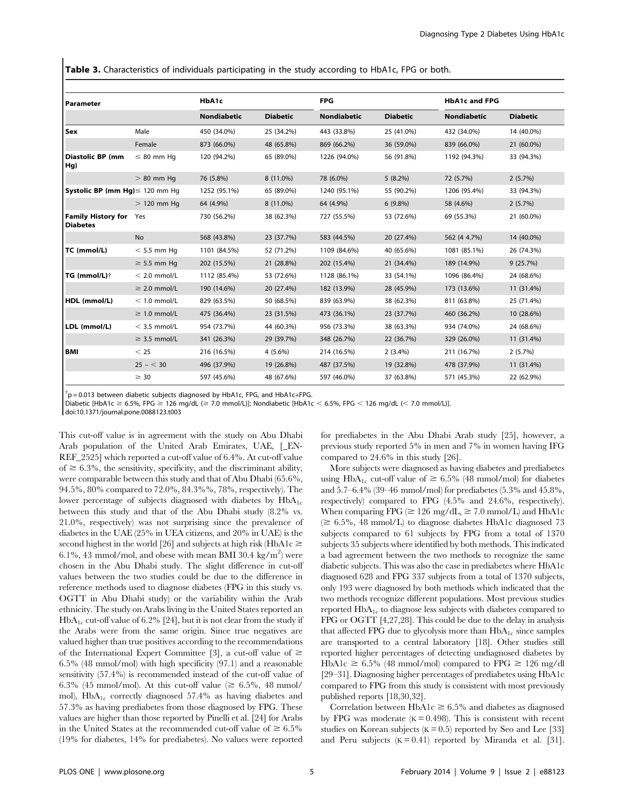Table 3. Characteristics of individuals participating in the study according to HbA1c, FPG or both.

| Parameter                             |                   | HbA1c        |                 | <b>FPG</b>   |                 | <b>HbA1c and FPG</b> |                 |
|---------------------------------------|-------------------|--------------|-----------------|--------------|-----------------|----------------------|-----------------|
|                                       |                   | Nondiabetic  | <b>Diabetic</b> | Nondiabetic  | <b>Diabetic</b> | <b>Nondiabetic</b>   | <b>Diabetic</b> |
| Sex                                   | Male              | 450 (34.0%)  | 25 (34.2%)      | 443 (33.8%)  | 25 (41.0%)      | 432 (34.0%)          | 14 (40.0%)      |
|                                       | Female            | 873 (66.0%)  | 48 (65.8%)      | 869 (66.2%)  | 36 (59.0%)      | 839 (66.0%)          | 21 (60.0%)      |
| Diastolic BP (mm<br>  Hg)             | $\leq 80$ mm Hq   | 120 (94.2%)  | 65 (89.0%)      | 1226 (94.0%) | 56 (91.8%)      | 1192 (94.3%)         | 33 (94.3%)      |
|                                       | $>80$ mm Hq       | 76 (5.8%)    | 8 (11.0%)       | 78 (6.0%)    | $5(8.2\%)$      | 72 (5.7%)            | 2(5.7%)         |
| Systolic BP (mm Hg)≤ 120 mm Hg        |                   | 1252 (95.1%) | 65 (89.0%)      | 1240 (95.1%) | 55 (90.2%)      | 1206 (95.4%)         | 33 (94.3%)      |
|                                       | $>$ 120 mm Hq     | 64 (4.9%)    | 8 (11.0%)       | 64 (4.9%)    | $6(9.8\%)$      | 58 (4.6%)            | 2(5.7%)         |
| <b>Family History for</b><br>Diabetes | Yes               | 730 (56.2%)  | 38 (62.3%)      | 727 (55.5%)  | 53 (72.6%)      | 69 (55.3%)           | 21 (60.0%)      |
|                                       | No                | 568 (43.8%)  | 23 (37.7%)      | 583 (44.5%)  | 20 (27.4%)      | 562 (4 4.7%)         | 14 (40.0%)      |
| TC (mmol/L)                           | $<$ 5.5 mm Hq     | 1101 (84.5%) | 52 (71.2%)      | 1109 (84.6%) | 40 (65.6%)      | 1081 (85.1%)         | 26 (74.3%)      |
|                                       | $\geq$ 5.5 mm Hq  | 202 (15.5%)  | 21 (28.8%)      | 202 (15.4%)  | 21 (34.4%)      | 189 (14.9%)          | 9(25.7%)        |
| TG (mmol/L)†                          | $< 2.0$ mmol/L    | 1112 (85.4%) | 53 (72.6%)      | 1128 (86.1%) | 33 (54.1%)      | 1096 (86.4%)         | 24 (68.6%)      |
|                                       | $\geq$ 2.0 mmol/L | 190 (14.6%)  | 20 (27.4%)      | 182 (13.9%)  | 28 (45.9%)      | 173 (13.6%)          | 11 (31.4%)      |
| HDL (mmol/L)                          | $<$ 1.0 mmol/L    | 829 (63.5%)  | 50 (68.5%)      | 839 (63.9%)  | 38 (62.3%)      | 811 (63.8%)          | 25 (71.4%)      |
|                                       | $\geq$ 1.0 mmol/L | 475 (36.4%)  | 23 (31.5%)      | 473 (36.1%)  | 23 (37.7%)      | 460 (36.2%)          | 10 (28.6%)      |
| LDL (mmol/L)                          | $<$ 3.5 mmol/L    | 954 (73.7%)  | 44 (60.3%)      | 956 (73.3%)  | 38 (63.3%)      | 934 (74.0%)          | 24 (68.6%)      |
|                                       | $\geq$ 3.5 mmol/L | 341 (26.3%)  | 29 (39.7%)      | 348 (26.7%)  | 22 (36.7%)      | 329 (26.0%)          | 11 (31.4%)      |
| l BMI                                 | < 25              | 216 (16.5%)  | $4(5.6\%)$      | 214 (16.5%)  | $2(3.4\%)$      | 211 (16.7%)          | 2(5.7%)         |
|                                       | $25 - < 30$       | 496 (37.9%)  | 19 (26.8%)      | 487 (37.5%)  | 19 (32.8%)      | 478 (37.9%)          | 11 (31.4%)      |
|                                       | $\geq 30$         | 597 (45.6%)  | 48 (67.6%)      | 597 (46.0%)  | 37 (63.8%)      | 571 (45.3%)          | 22 (62.9%)      |

 $\phi^{\dagger}$ p = 0.013 between diabetic subjects diagnosed by HbA1c, FPG, and HbA1c+FPG.

Diabetic [HbA1c  $\geq$  6.5%, FPG  $\geq$  126 mg/dL ( $\geq$  7.0 mmol/L)]; Nondiabetic [HbA1c < 6.5%, FPG < 126 mg/dL (< 7.0 mmol/L)].

doi:10.1371/journal.pone.0088123.t003

This cut-off value is in agreement with the study on Abu Dhabi Arab population of the United Arab Emirates, UAE, [\_EN-REF\_2525] which reported a cut-off value of 6.4%. At cut-off value of  $\geq 6.3\%$ , the sensitivity, specificity, and the discriminant ability, were comparable between this study and that of Abu Dhabi (65.6%, 94.5%, 80% compared to 72.0%, 84.3%%, 78%, respectively). The lower percentage of subjects diagnosed with diabetes by  $HbA_{1c}$ between this study and that of the Abu Dhabi study (8.2% vs. 21.0%, respectively) was not surprising since the prevalence of diabetes in the UAE (25% in UEA citizens, and 20% in UAE) is the second highest in the world [26] and subjects at high risk (HbA1c  $\ge$ 6.1%, 43 mmol/mol, and obese with mean BMI 30.4 kg/m<sup>2</sup>) were chosen in the Abu Dhabi study. The slight difference in cut-off values between the two studies could be due to the difference in reference methods used to diagnose diabetes (FPG in this study vs. OGTT in Abu Dhabi study) or the variability within the Arab ethnicity. The study on Arabs living in the United States reported an  $HbA_{1c}$  cut-off value of 6.2% [24], but it is not clear from the study if the Arabs were from the same origin. Since true negatives are valued higher than true positives according to the recommendations of the International Expert Committee [3], a cut-off value of  $\geq$ 6.5% (48 mmol/mol) with high specificity (97.1) and a reasonable sensitivity (57.4%) is recommended instead of the cut-off value of 6.3% (45 mmol/mol). At this cut-off value ( $\geq 6.5\%$ , 48 mmol/ mol), HbA1c correctly diagnosed 57.4% as having diabetes and 57.3% as having prediabetes from those diagnosed by FPG. These values are higher than those reported by Pinelli et al. [24] for Arabs in the United States at the recommended cut-off value of  $\geq 6.5\%$ (19% for diabetes, 14% for prediabetes). No values were reported for prediabetes in the Abu Dhabi Arab study [25], however, a previous study reported 5% in men and 7% in women having IFG compared to 24.6% in this study [26].

More subjects were diagnosed as having diabetes and prediabetes using HbA<sub>1c</sub> cut-off value of  $\geq 6.5\%$  (48 mmol/mol) for diabetes and 5.7–6.4% (39–46 mmol/mol) for prediabetes (5.3% and 45.8%, respectively) compared to FPG (4.5% and 24.6%, respectively). When comparing FPG ( $\geq 126$  mg/dL,  $\geq 7.0$  mmol/L) and HbA1c  $(\geq 6.5\%, 48 \text{ mmol/L})$  to diagnose diabetes HbA1c diagnosed 73 subjects compared to 61 subjects by FPG from a total of 1370 subjects 35 subjects where identified by both methods. This indicated a bad agreement between the two methods to recognize the same diabetic subjects. This was also the case in prediabetes where HbA1c diagnosed 628 and FPG 337 subjects from a total of 1370 subjects, only 193 were diagnosed by both methods which indicated that the two methods recognize different populations. Most previous studies reported  $HbA_{1c}$  to diagnose less subjects with diabetes compared to FPG or OGTT [4,27,28]. This could be due to the delay in analysis that affected FPG due to glycolysis more than  $HbA_{1c}$  since samples are transported to a central laboratory [18]. Other studies still reported higher percentages of detecting undiagnosed diabetes by  $HbA1c \geq 6.5\%$  (48 mmol/mol) compared to FPG  $\geq 126$  mg/dl [29–31]. Diagnosing higher percentages of prediabetes using HbA1c compared to FPG from this study is consistent with most previously published reports [18,30,32].

Correlation between  $HbA1c \geq 6.5\%$  and diabetes as diagnosed by FPG was moderate  $(K = 0.498)$ . This is consistent with recent studies on Korean subjects ( $K = 0.5$ ) reported by Seo and Lee [33] and Peru subjects  $(K = 0.41)$  reported by Miranda et al. [31].